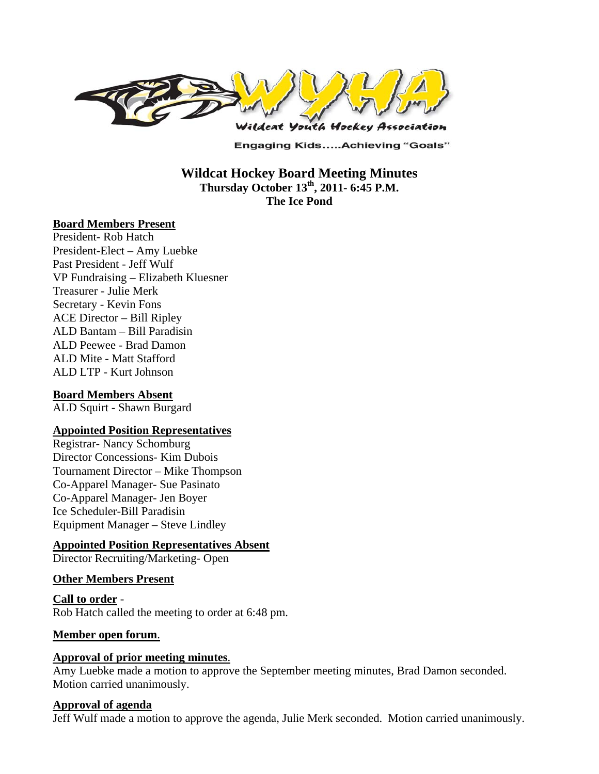

**Engaging Kids.....Achieving "Goals"** 

**Wildcat Hockey Board Meeting Minutes Thursday October 13th, 2011- 6:45 P.M. The Ice Pond** 

#### **Board Members Present**

President- Rob Hatch President-Elect – Amy Luebke Past President - Jeff Wulf VP Fundraising – Elizabeth Kluesner Treasurer - Julie Merk Secretary - Kevin Fons ACE Director – Bill Ripley ALD Bantam – Bill Paradisin ALD Peewee - Brad Damon ALD Mite - Matt Stafford ALD LTP - Kurt Johnson

## **Board Members Absent**

ALD Squirt - Shawn Burgard

#### **Appointed Position Representatives**

Registrar- Nancy Schomburg Director Concessions- Kim Dubois Tournament Director – Mike Thompson Co-Apparel Manager- Sue Pasinato Co-Apparel Manager- Jen Boyer Ice Scheduler-Bill Paradisin Equipment Manager – Steve Lindley

## **Appointed Position Representatives Absent**

Director Recruiting/Marketing- Open

#### **Other Members Present**

**Call to order** - Rob Hatch called the meeting to order at 6:48 pm.

#### **Member open forum**.

#### **Approval of prior meeting minutes**.

Amy Luebke made a motion to approve the September meeting minutes, Brad Damon seconded. Motion carried unanimously.

#### **Approval of agenda**

Jeff Wulf made a motion to approve the agenda, Julie Merk seconded. Motion carried unanimously.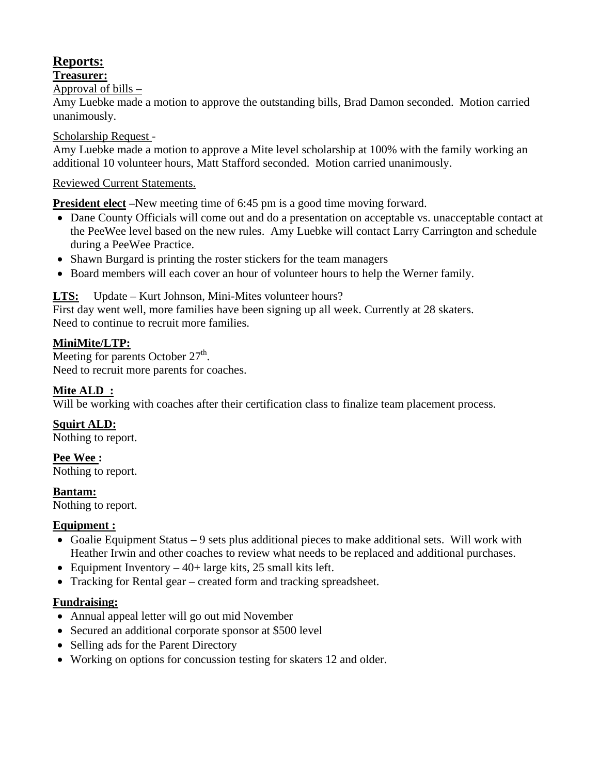# **Reports:**

## **Treasurer:**

Approval of bills –

Amy Luebke made a motion to approve the outstanding bills, Brad Damon seconded. Motion carried unanimously.

## Scholarship Request -

Amy Luebke made a motion to approve a Mite level scholarship at 100% with the family working an additional 10 volunteer hours, Matt Stafford seconded. Motion carried unanimously.

# Reviewed Current Statements.

**President elect** –New meeting time of 6:45 pm is a good time moving forward.

- Dane County Officials will come out and do a presentation on acceptable vs. unacceptable contact at the PeeWee level based on the new rules. Amy Luebke will contact Larry Carrington and schedule during a PeeWee Practice.
- Shawn Burgard is printing the roster stickers for the team managers
- Board members will each cover an hour of volunteer hours to help the Werner family.

# **LTS:** Update – Kurt Johnson, Mini-Mites volunteer hours?

First day went well, more families have been signing up all week. Currently at 28 skaters. Need to continue to recruit more families.

# **MiniMite/LTP:**

Meeting for parents October  $27<sup>th</sup>$ . Need to recruit more parents for coaches.

# **Mite ALD :**

Will be working with coaches after their certification class to finalize team placement process.

**Squirt ALD:** 

Nothing to report.

**Pee Wee :**  Nothing to report.

**Bantam:** 

Nothing to report.

## **Equipment :**

- Goalie Equipment Status 9 sets plus additional pieces to make additional sets. Will work with Heather Irwin and other coaches to review what needs to be replaced and additional purchases.
- Equipment Inventory  $-40+$  large kits, 25 small kits left.
- Tracking for Rental gear created form and tracking spreadsheet.

## **Fundraising:**

- Annual appeal letter will go out mid November
- Secured an additional corporate sponsor at \$500 level
- Selling ads for the Parent Directory
- Working on options for concussion testing for skaters 12 and older.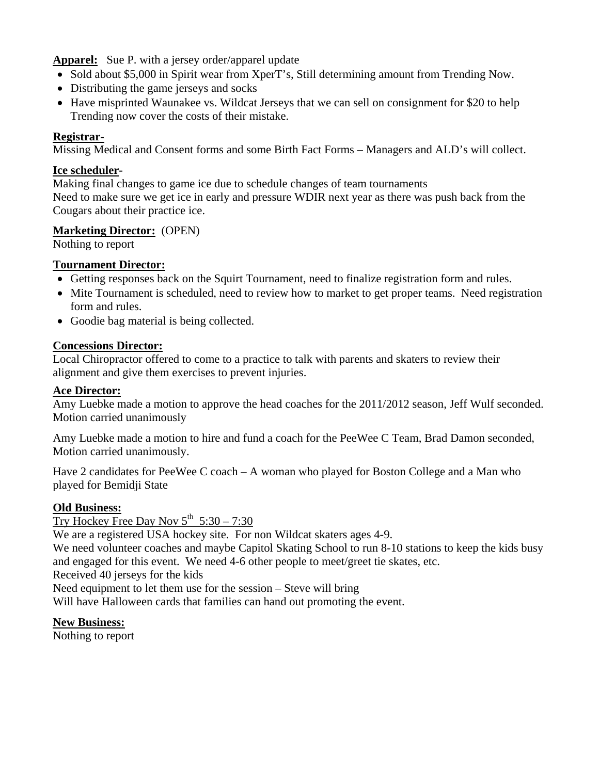**Apparel:** Sue P. with a jersey order/apparel update

- Sold about \$5,000 in Spirit wear from XperT's, Still determining amount from Trending Now.
- Distributing the game jerseys and socks
- Have misprinted Waunakee vs. Wildcat Jerseys that we can sell on consignment for \$20 to help Trending now cover the costs of their mistake.

## **Registrar-**

Missing Medical and Consent forms and some Birth Fact Forms – Managers and ALD's will collect.

#### **Ice scheduler-**

Making final changes to game ice due to schedule changes of team tournaments Need to make sure we get ice in early and pressure WDIR next year as there was push back from the Cougars about their practice ice.

## **Marketing Director:** (OPEN)

Nothing to report

## **Tournament Director:**

- Getting responses back on the Squirt Tournament, need to finalize registration form and rules.
- Mite Tournament is scheduled, need to review how to market to get proper teams. Need registration form and rules.
- Goodie bag material is being collected.

#### **Concessions Director:**

Local Chiropractor offered to come to a practice to talk with parents and skaters to review their alignment and give them exercises to prevent injuries.

#### **Ace Director:**

Amy Luebke made a motion to approve the head coaches for the 2011/2012 season, Jeff Wulf seconded. Motion carried unanimously

Amy Luebke made a motion to hire and fund a coach for the PeeWee C Team, Brad Damon seconded, Motion carried unanimously.

Have 2 candidates for PeeWee C coach – A woman who played for Boston College and a Man who played for Bemidji State

## **Old Business:**

# Try Hockey Free Day Nov  $5^{th}$  5:30 – 7:30

We are a registered USA hockey site. For non Wildcat skaters ages 4-9.

We need volunteer coaches and maybe Capitol Skating School to run 8-10 stations to keep the kids busy and engaged for this event. We need 4-6 other people to meet/greet tie skates, etc.

Received 40 jerseys for the kids

Need equipment to let them use for the session – Steve will bring

Will have Halloween cards that families can hand out promoting the event.

## **New Business:**

Nothing to report